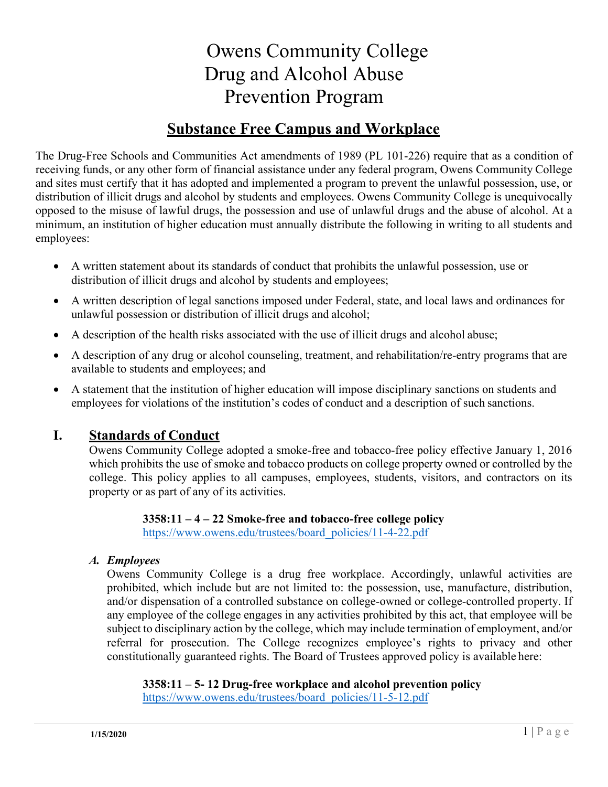# Owens Community College Drug and Alcohol Abuse Prevention Program

# **Substance Free Campus and Workplace**

The Drug-Free Schools and Communities Act amendments of 1989 (PL 101-226) require that as a condition of receiving funds, or any other form of financial assistance under any federal program, Owens Community College and sites must certify that it has adopted and implemented a program to prevent the unlawful possession, use, or distribution of illicit drugs and alcohol by students and employees. Owens Community College is unequivocally opposed to the misuse of lawful drugs, the possession and use of unlawful drugs and the abuse of alcohol. At a minimum, an institution of higher education must annually distribute the following in writing to all students and employees:

- A written statement about its standards of conduct that prohibits the unlawful possession, use or distribution of illicit drugs and alcohol by students and employees;
- A written description of legal sanctions imposed under Federal, state, and local laws and ordinances for unlawful possession or distribution of illicit drugs and alcohol;
- A description of the health risks associated with the use of illicit drugs and alcohol abuse;
- A description of any drug or alcohol counseling, treatment, and rehabilitation/re-entry programs that are available to students and employees; and
- A statement that the institution of higher education will impose disciplinary sanctions on students and employees for violations of the institution's codes of conduct and a description of such sanctions.

# **I. Standards of Conduct**

Owens Community College adopted a smoke-free and tobacco-free policy effective January 1, 2016 which prohibits the use of smoke and tobacco products on college property owned or controlled by the college. This policy applies to all campuses, employees, students, visitors, and contractors on its property or as part of any of its activities.

> **3358:11 – 4 – 22 Smoke-free and tobacco-free college policy** https:[//www.owens.edu/trustees/board\\_policies/11-4-22.pdf](http://www.owens.edu/trustees/board_policies/11-4-22.pdf)

#### *A. Employees*

Owens Community College is a drug free workplace. Accordingly, unlawful activities are prohibited, which include but are not limited to: the possession, use, manufacture, distribution, and/or dispensation of a controlled substance on college-owned or college-controlled property. If any employee of the college engages in any activities prohibited by this act, that employee will be subject to disciplinary action by the college, which may include termination of employment, and/or referral for prosecution. The College recognizes employee's rights to privacy and other constitutionally guaranteed rights. The Board of Trustees approved policy is available here:

**3358:11 – 5- 12 Drug-free workplace and alcohol prevention policy** https:/[/www.owens.edu/trustees/board\\_policies/11-5-12.pdf](http://www.owens.edu/trustees/board_policies/11-5-12.pdf)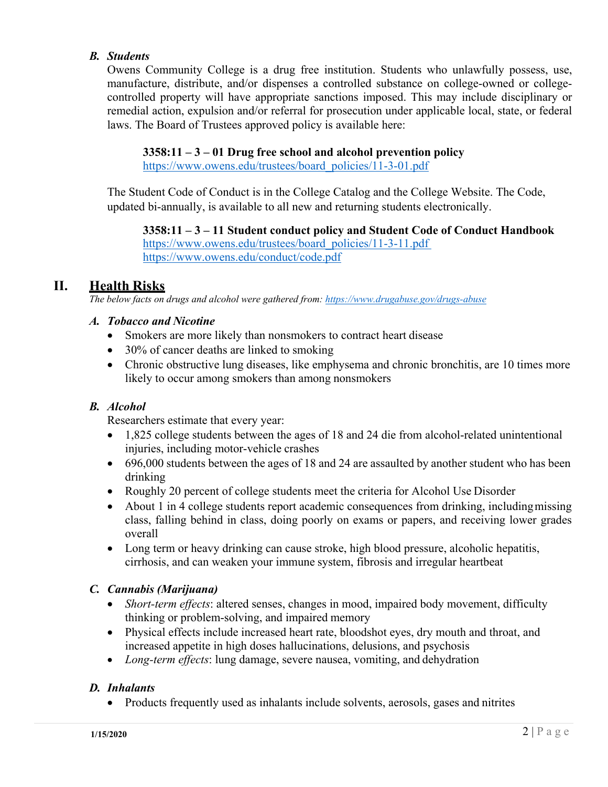#### *B. Students*

Owens Community College is a drug free institution. Students who unlawfully possess, use, manufacture, distribute, and/or dispenses a controlled substance on college-owned or collegecontrolled property will have appropriate sanctions imposed. This may include disciplinary or remedial action, expulsion and/or referral for prosecution under applicable local, state, or federal laws. The Board of Trustees approved policy is available here:

#### **3358:11 – 3 – 01 Drug free school and alcohol prevention policy**

https:[//www.owens.edu/trustees/board\\_policies/11-3-01.pdf](http://www.owens.edu/trustees/board_policies/11-3-01.pdf)

The Student Code of Conduct is in the College Catalog and the College Website. The Code, updated bi-annually, is available to all new and returning students electronically.

#### **3358:11 – 3 – 11 Student conduct policy and Student Code of Conduct Handbook**

https:[//www.owens.edu/trustees/board\\_policies/11-3-11.pdf](http://www.owens.edu/trustees/board_policies/11-3-11.pdf) https:[//www.owens.edu/conduct/code.pdf](http://www.owens.edu/conduct/code.pdf)

# **II. Health Risks**

*The below facts on drugs and alcohol were gathered from: https[://www.drugabuse.gov/drugs-abuse](http://www.drugabuse.gov/drugs-abuse)*

#### *A. Tobacco and Nicotine*

- Smokers are more likely than nonsmokers to contract heart disease
- 30% of cancer deaths are linked to smoking
- Chronic obstructive lung diseases, like emphysema and chronic bronchitis, are 10 times more likely to occur among smokers than among nonsmokers

#### *B. Alcohol*

Researchers estimate that every year:

- 1,825 college students between the ages of 18 and 24 die from alcohol-related unintentional injuries, including motor-vehicle crashes
- 696,000 students between the ages of 18 and 24 are assaulted by another student who has been drinking
- Roughly 20 percent of college students meet the criteria for Alcohol Use Disorder
- About 1 in 4 college students report academic consequences from drinking, including missing class, falling behind in class, doing poorly on exams or papers, and receiving lower grades overall
- Long term or heavy drinking can cause stroke, high blood pressure, alcoholic hepatitis, cirrhosis, and can weaken your immune system, fibrosis and irregular heartbeat

#### *C. Cannabis (Marijuana)*

- *Short-term effects*: altered senses, changes in mood, impaired body movement, difficulty thinking or problem-solving, and impaired memory
- Physical effects include increased heart rate, bloodshot eyes, dry mouth and throat, and increased appetite in high doses hallucinations, delusions, and psychosis
- *Long-term effects*: lung damage, severe nausea, vomiting, and dehydration

#### *D. Inhalants*

• Products frequently used as inhalants include solvents, aerosols, gases and nitrites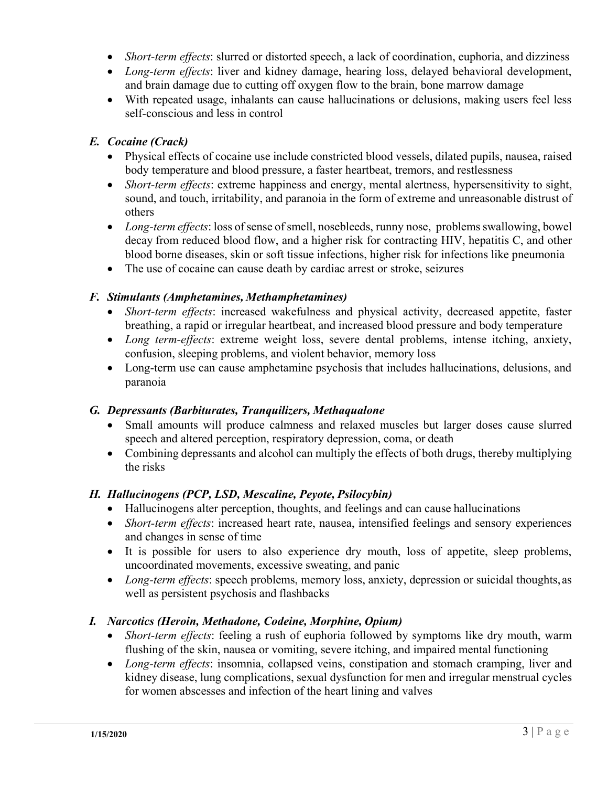- *Short-term effects*: slurred or distorted speech, a lack of coordination, euphoria, and dizziness
- *Long-term effects*: liver and kidney damage, hearing loss, delayed behavioral development, and brain damage due to cutting off oxygen flow to the brain, bone marrow damage
- With repeated usage, inhalants can cause hallucinations or delusions, making users feel less self-conscious and less in control

#### *E. Cocaine (Crack)*

- Physical effects of cocaine use include constricted blood vessels, dilated pupils, nausea, raised body temperature and blood pressure, a faster heartbeat, tremors, and restlessness
- *Short-term effects*: extreme happiness and energy, mental alertness, hypersensitivity to sight, sound, and touch, irritability, and paranoia in the form of extreme and unreasonable distrust of others
- *Long-term effects*: loss of sense of smell, nosebleeds, runny nose, problems swallowing, bowel decay from reduced blood flow, and a higher risk for contracting HIV, hepatitis C, and other blood borne diseases, skin or soft tissue infections, higher risk for infections like pneumonia
- The use of cocaine can cause death by cardiac arrest or stroke, seizures

#### *F. Stimulants (Amphetamines, Methamphetamines)*

- *Short-term effects*: increased wakefulness and physical activity, decreased appetite, faster breathing, a rapid or irregular heartbeat, and increased blood pressure and body temperature
- *Long term-effects*: extreme weight loss, severe dental problems, intense itching, anxiety, confusion, sleeping problems, and violent behavior, memory loss
- Long-term use can cause amphetamine psychosis that includes hallucinations, delusions, and paranoia

#### *G. Depressants (Barbiturates, Tranquilizers, Methaqualone*

- Small amounts will produce calmness and relaxed muscles but larger doses cause slurred speech and altered perception, respiratory depression, coma, or death
- Combining depressants and alcohol can multiply the effects of both drugs, thereby multiplying the risks

#### *H. Hallucinogens (PCP, LSD, Mescaline, Peyote, Psilocybin)*

- Hallucinogens alter perception, thoughts, and feelings and can cause hallucinations
- *Short-term effects*: increased heart rate, nausea, intensified feelings and sensory experiences and changes in sense of time
- It is possible for users to also experience dry mouth, loss of appetite, sleep problems, uncoordinated movements, excessive sweating, and panic
- *Long-term effects*: speech problems, memory loss, anxiety, depression or suicidal thoughts, as well as persistent psychosis and flashbacks

#### *I. Narcotics (Heroin, Methadone, Codeine, Morphine, Opium)*

- *Short-term effects*: feeling a rush of euphoria followed by symptoms like dry mouth, warm flushing of the skin, nausea or vomiting, severe itching, and impaired mental functioning
- *Long-term effects*: insomnia, collapsed veins, constipation and stomach cramping, liver and kidney disease, lung complications, sexual dysfunction for men and irregular menstrual cycles for women abscesses and infection of the heart lining and valves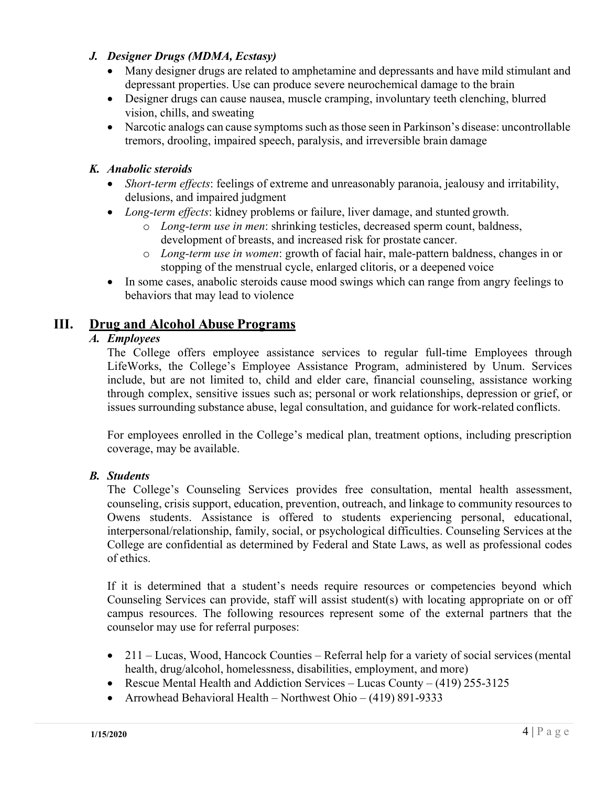#### *J. Designer Drugs (MDMA, Ecstasy)*

- Many designer drugs are related to amphetamine and depressants and have mild stimulant and depressant properties. Use can produce severe neurochemical damage to the brain
- Designer drugs can cause nausea, muscle cramping, involuntary teeth clenching, blurred vision, chills, and sweating
- Narcotic analogs can cause symptoms such as those seen in Parkinson's disease: uncontrollable tremors, drooling, impaired speech, paralysis, and irreversible brain damage

#### *K. Anabolic steroids*

- *Short-term effects*: feelings of extreme and unreasonably paranoia, jealousy and irritability, delusions, and impaired judgment
- *Long-term effects*: kidney problems or failure, liver damage, and stunted growth.
	- o *Long-term use in men*: shrinking testicles, decreased sperm count, baldness, development of breasts, and increased risk for prostate cancer.
	- o *Long-term use in women*: growth of facial hair, male-pattern baldness, changes in or stopping of the menstrual cycle, enlarged clitoris, or a deepened voice
- In some cases, anabolic steroids cause mood swings which can range from angry feelings to behaviors that may lead to violence

# **III. Drug and Alcohol Abuse Programs**

#### *A. Employees*

The College offers employee assistance services to regular full-time Employees through LifeWorks, the College's Employee Assistance Program, administered by Unum. Services include, but are not limited to, child and elder care, financial counseling, assistance working through complex, sensitive issues such as; personal or work relationships, depression or grief, or issues surrounding substance abuse, legal consultation, and guidance for work-related conflicts.

For employees enrolled in the College's medical plan, treatment options, including prescription coverage, may be available.

#### *B. Students*

The College's Counseling Services provides free consultation, mental health assessment, counseling, crisis support, education, prevention, outreach, and linkage to community resources to Owens students. Assistance is offered to students experiencing personal, educational, interpersonal/relationship, family, social, or psychological difficulties. Counseling Services at the College are confidential as determined by Federal and State Laws, as well as professional codes of ethics.

If it is determined that a student's needs require resources or competencies beyond which Counseling Services can provide, staff will assist student(s) with locating appropriate on or off campus resources. The following resources represent some of the external partners that the counselor may use for referral purposes:

- 211 Lucas, Wood, Hancock Counties Referral help for a variety of social services (mental health, drug/alcohol, homelessness, disabilities, employment, and more)
- Rescue Mental Health and Addiction Services Lucas County (419) 255-3125
- Arrowhead Behavioral Health Northwest Ohio (419) 891-9333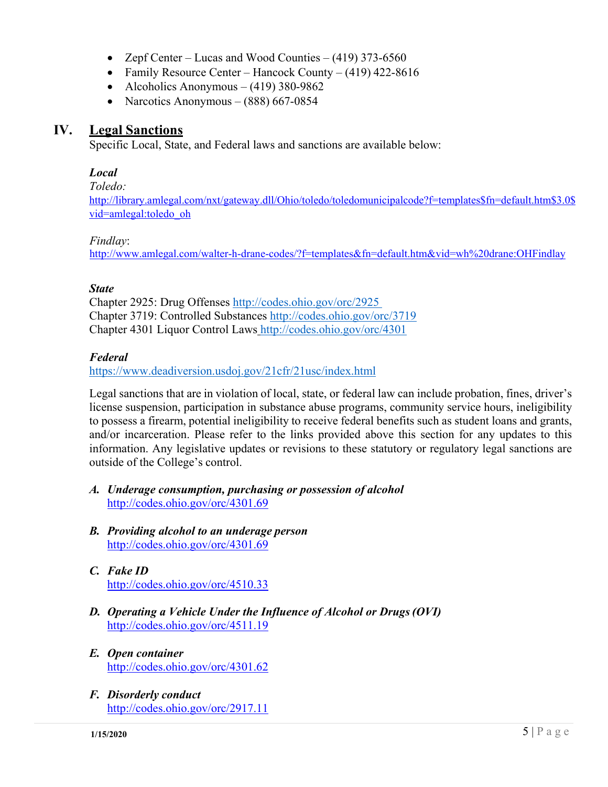- Zepf Center Lucas and Wood Counties (419) 373-6560
- Family Resource Center Hancock County (419) 422-8616
- Alcoholics Anonymous  $(419)$  380-9862
- Narcotics Anonymous  $(888)$  667-0854

#### **IV. Legal Sanctions**

Specific Local, State, and Federal laws and sanctions are available below:

#### *Local*

*Toledo:*

[http://library.amlegal.com/nxt/gateway.dll/Ohio/toledo/toledomunicipalcode?f=templates\\$fn=default.htm\\$3.0\\$](http://library.amlegal.com/nxt/gateway.dll/Ohio/toledo/toledomunicipalcode?f=templates$fn=default.htm$3.0$vid=amlegal:toledo_oh) [vid=amlegal:toledo\\_oh](http://library.amlegal.com/nxt/gateway.dll/Ohio/toledo/toledomunicipalcode?f=templates$fn=default.htm$3.0$vid=amlegal:toledo_oh)

#### *Findlay*:

<http://www.amlegal.com/walter-h-drane-codes/?f=templates&fn=default.htm&vid=wh%20drane:OHFindlay>

#### *State*

Chapter 2925: Drug Offenses<http://codes.ohio.gov/orc/2925> Chapter 3719: Controlled Substances<http://codes.ohio.gov/orc/3719> Chapter 4301 Liquor Control Laws<http://codes.ohio.gov/orc/4301>

#### *Federal*

https:[//www.deadiversion.usdoj.gov/21cfr/21usc/index.html](http://www.deadiversion.usdoj.gov/21cfr/21usc/index.html)

Legal sanctions that are in violation of local, state, or federal law can include probation, fines, driver's license suspension, participation in substance abuse programs, community service hours, ineligibility to possess a firearm, potential ineligibility to receive federal benefits such as student loans and grants, and/or incarceration. Please refer to the links provided above this section for any updates to this information. Any legislative updates or revisions to these statutory or regulatory legal sanctions are outside of the College's control.

- *A. Underage consumption, purchasing or possession of alcohol* <http://codes.ohio.gov/orc/4301.69>
- *B. Providing alcohol to an underage person* <http://codes.ohio.gov/orc/4301.69>
- *C. Fake ID* <http://codes.ohio.gov/orc/4510.33>
- *D. Operating a Vehicle Under the Influence of Alcohol or Drugs(OVI)* <http://codes.ohio.gov/orc/4511.19>
- *E. Open container* <http://codes.ohio.gov/orc/4301.62>
- *F. Disorderly conduct* <http://codes.ohio.gov/orc/2917.11>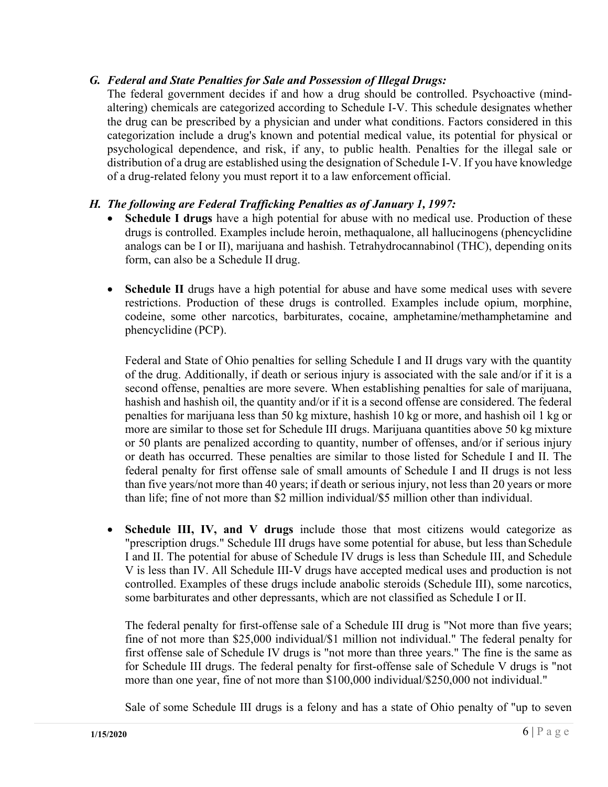#### *G. Federal and State Penalties for Sale and Possession of Illegal Drugs:*

The federal government decides if and how a drug should be controlled. Psychoactive (mindaltering) chemicals are categorized according to Schedule I-V. This schedule designates whether the drug can be prescribed by a physician and under what conditions. Factors considered in this categorization include a drug's known and potential medical value, its potential for physical or psychological dependence, and risk, if any, to public health. Penalties for the illegal sale or distribution of a drug are established using the designation of Schedule I-V. If you have knowledge of a drug-related felony you must report it to a law enforcement official.

#### *H. The following are Federal Trafficking Penalties as of January 1, 1997:*

- **Schedule I drugs** have a high potential for abuse with no medical use. Production of these drugs is controlled. Examples include heroin, methaqualone, all hallucinogens (phencyclidine analogs can be I or II), marijuana and hashish. Tetrahydrocannabinol (THC), depending onits form, can also be a Schedule II drug.
- **Schedule II** drugs have a high potential for abuse and have some medical uses with severe restrictions. Production of these drugs is controlled. Examples include opium, morphine, codeine, some other narcotics, barbiturates, cocaine, amphetamine/methamphetamine and phencyclidine (PCP).

Federal and State of Ohio penalties for selling Schedule I and II drugs vary with the quantity of the drug. Additionally, if death or serious injury is associated with the sale and/or if it is a second offense, penalties are more severe. When establishing penalties for sale of marijuana, hashish and hashish oil, the quantity and/or if it is a second offense are considered. The federal penalties for marijuana less than 50 kg mixture, hashish 10 kg or more, and hashish oil 1 kg or more are similar to those set for Schedule III drugs. Marijuana quantities above 50 kg mixture or 50 plants are penalized according to quantity, number of offenses, and/or if serious injury or death has occurred. These penalties are similar to those listed for Schedule I and II. The federal penalty for first offense sale of small amounts of Schedule I and II drugs is not less than five years/not more than 40 years; if death or serious injury, not less than 20 years or more than life; fine of not more than \$2 million individual/\$5 million other than individual.

• **Schedule III, IV, and V drugs** include those that most citizens would categorize as "prescription drugs." Schedule III drugs have some potential for abuse, but less than Schedule I and II. The potential for abuse of Schedule IV drugs is less than Schedule III, and Schedule V is less than IV. All Schedule III-V drugs have accepted medical uses and production is not controlled. Examples of these drugs include anabolic steroids (Schedule III), some narcotics, some barbiturates and other depressants, which are not classified as Schedule I or II.

The federal penalty for first-offense sale of a Schedule III drug is "Not more than five years; fine of not more than \$25,000 individual/\$1 million not individual." The federal penalty for first offense sale of Schedule IV drugs is "not more than three years." The fine is the same as for Schedule III drugs. The federal penalty for first-offense sale of Schedule V drugs is "not more than one year, fine of not more than \$100,000 individual/\$250,000 not individual."

Sale of some Schedule III drugs is a felony and has a state of Ohio penalty of "up to seven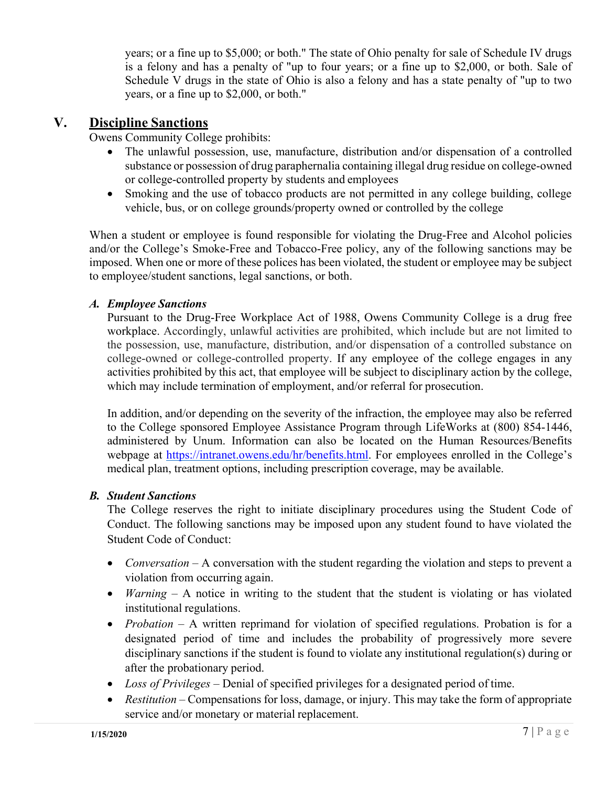years; or a fine up to \$5,000; or both." The state of Ohio penalty for sale of Schedule IV drugs is a felony and has a penalty of "up to four years; or a fine up to \$2,000, or both. Sale of Schedule V drugs in the state of Ohio is also a felony and has a state penalty of "up to two years, or a fine up to \$2,000, or both."

### **V. Discipline Sanctions**

Owens Community College prohibits:

- The unlawful possession, use, manufacture, distribution and/or dispensation of a controlled substance or possession of drug paraphernalia containing illegal drug residue on college-owned or college-controlled property by students and employees
- Smoking and the use of tobacco products are not permitted in any college building, college vehicle, bus, or on college grounds/property owned or controlled by the college

When a student or employee is found responsible for violating the Drug-Free and Alcohol policies and/or the College's Smoke-Free and Tobacco-Free policy, any of the following sanctions may be imposed. When one or more of these polices has been violated, the student or employee may be subject to employee/student sanctions, legal sanctions, or both.

#### *A. Employee Sanctions*

Pursuant to the Drug-Free Workplace Act of 1988, Owens Community College is a drug free workplace. Accordingly, unlawful activities are prohibited, which include but are not limited to the possession, use, manufacture, distribution, and/or dispensation of a controlled substance on college-owned or college-controlled property. If any employee of the college engages in any activities prohibited by this act, that employee will be subject to disciplinary action by the college, which may include termination of employment, and/or referral for prosecution.

In addition, and/or depending on the severity of the infraction, the employee may also be referred to the College sponsored Employee Assistance Program through LifeWorks at (800) 854-1446, administered by Unum. Information can also be located on the Human Resources/Benefits webpage at [https://intranet.owens.edu/hr/benefits.html.](https://intranet.owens.edu/hr/benefits.html) For employees enrolled in the College's medical plan, treatment options, including prescription coverage, may be available.

#### *B. Student Sanctions*

The College reserves the right to initiate disciplinary procedures using the Student Code of Conduct. The following sanctions may be imposed upon any student found to have violated the Student Code of Conduct:

- *Conversation* A conversation with the student regarding the violation and steps to prevent a violation from occurring again.
- *Warning* A notice in writing to the student that the student is violating or has violated institutional regulations.
- *Probation* A written reprimand for violation of specified regulations. Probation is for a designated period of time and includes the probability of progressively more severe disciplinary sanctions if the student is found to violate any institutional regulation(s) during or after the probationary period.
- *Loss of Privileges*  Denial of specified privileges for a designated period of time.
- *Restitution* Compensations for loss, damage, or injury. This may take the form of appropriate service and/or monetary or material replacement.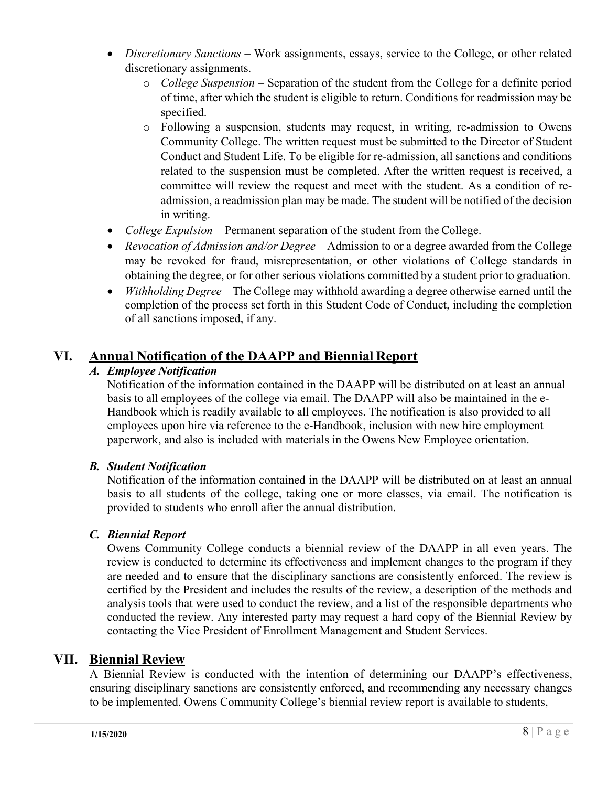- *Discretionary Sanctions* Work assignments, essays, service to the College, or other related discretionary assignments.
	- o *College Suspension*  Separation of the student from the College for a definite period of time, after which the student is eligible to return. Conditions for readmission may be specified.
	- o Following a suspension, students may request, in writing, re-admission to Owens Community College. The written request must be submitted to the Director of Student Conduct and Student Life. To be eligible for re-admission, all sanctions and conditions related to the suspension must be completed. After the written request is received, a committee will review the request and meet with the student. As a condition of readmission, a readmission plan may be made. The student will be notified of the decision in writing.
- *College Expulsion* Permanent separation of the student from the College.
- *Revocation of Admission and/or Degree* Admission to or a degree awarded from the College may be revoked for fraud, misrepresentation, or other violations of College standards in obtaining the degree, or for other serious violations committed by a student prior to graduation.
- *Withholding Degree* The College may withhold awarding a degree otherwise earned until the completion of the process set forth in this Student Code of Conduct, including the completion of all sanctions imposed, if any.

# **VI. Annual Notification of the DAAPP and Biennial Report**

# *A. Employee Notification*

Notification of the information contained in the DAAPP will be distributed on at least an annual basis to all employees of the college via email. The DAAPP will also be maintained in the e-Handbook which is readily available to all employees. The notification is also provided to all employees upon hire via reference to the e-Handbook, inclusion with new hire employment paperwork, and also is included with materials in the Owens New Employee orientation.

# *B. Student Notification*

Notification of the information contained in the DAAPP will be distributed on at least an annual basis to all students of the college, taking one or more classes, via email. The notification is provided to students who enroll after the annual distribution.

#### *C. Biennial Report*

Owens Community College conducts a biennial review of the DAAPP in all even years. The review is conducted to determine its effectiveness and implement changes to the program if they are needed and to ensure that the disciplinary sanctions are consistently enforced. The review is certified by the President and includes the results of the review, a description of the methods and analysis tools that were used to conduct the review, and a list of the responsible departments who conducted the review. Any interested party may request a hard copy of the Biennial Review by contacting the Vice President of Enrollment Management and Student Services.

# **VII. Biennial Review**

A Biennial Review is conducted with the intention of determining our DAAPP's effectiveness, ensuring disciplinary sanctions are consistently enforced, and recommending any necessary changes to be implemented. Owens Community College's biennial review report is available to students,